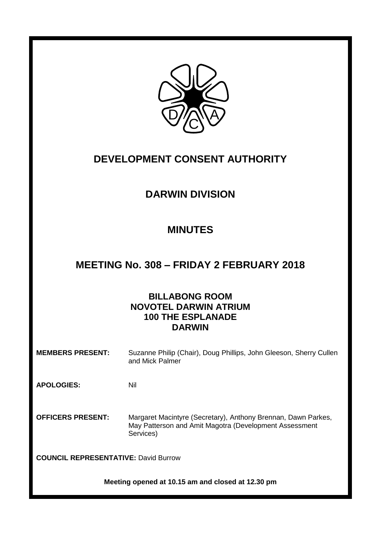

# **DEVELOPMENT CONSENT AUTHORITY**

# **DARWIN DIVISION**

# **MINUTES**

# **MEETING No. 308 – FRIDAY 2 FEBRUARY 2018**

# **BILLABONG ROOM NOVOTEL DARWIN ATRIUM 100 THE ESPLANADE DARWIN**

**MEMBERS PRESENT:** Suzanne Philip (Chair), Doug Phillips, John Gleeson, Sherry Cullen and Mick Palmer

**APOLOGIES:** Nil

**OFFICERS PRESENT:** Margaret Macintyre (Secretary), Anthony Brennan, Dawn Parkes, May Patterson and Amit Magotra (Development Assessment Services)

**COUNCIL REPRESENTATIVE:** David Burrow

**Meeting opened at 10.15 am and closed at 12.30 pm**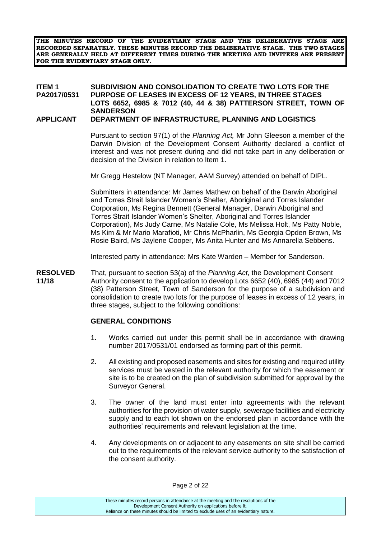**THE MINUTES RECORD OF THE EVIDENTIARY STAGE AND THE DELIBERATIVE STAGE ARE RECORDED SEPARATELY. THESE MINUTES RECORD THE DELIBERATIVE STAGE. THE TWO STAGES ARE GENERALLY HELD AT DIFFERENT TIMES DURING THE MEETING AND INVITEES ARE PRESENT FOR THE EVIDENTIARY STAGE ONLY.**

# **ITEM 1 SUBDIVISION AND CONSOLIDATION TO CREATE TWO LOTS FOR THE PURPOSE OF LEASES IN EXCESS OF 12 YEARS, IN THREE STAGES LOTS 6652, 6985 & 7012 (40, 44 & 38) PATTERSON STREET, TOWN OF SANDERSON**

#### **APPLICANT DEPARTMENT OF INFRASTRUCTURE, PLANNING AND LOGISTICS**

Pursuant to section 97(1) of the *Planning Act,* Mr John Gleeson a member of the Darwin Division of the Development Consent Authority declared a conflict of interest and was not present during and did not take part in any deliberation or decision of the Division in relation to Item 1.

Mr Gregg Hestelow (NT Manager, AAM Survey) attended on behalf of DIPL.

Submitters in attendance: Mr James Mathew on behalf of the Darwin Aboriginal and Torres Strait Islander Women's Shelter, Aboriginal and Torres Islander Corporation, Ms Regina Bennett (General Manager, Darwin Aboriginal and Torres Strait Islander Women's Shelter, Aboriginal and Torres Islander Corporation), Ms Judy Carne, Ms Natalie Cole, Ms Melissa Holt, Ms Patty Noble, Ms Kim & Mr Mario Marafioti, Mr Chris McPharlin, Ms Georgia Opden Brown, Ms Rosie Baird, Ms Jaylene Cooper, Ms Anita Hunter and Ms Annarella Sebbens.

Interested party in attendance: Mrs Kate Warden – Member for Sanderson.

**RESOLVED** That, pursuant to section 53(a) of the *Planning Act*, the Development Consent **11/18** Authority consent to the application to develop Lots 6652 (40), 6985 (44) and 7012 (38) Patterson Street, Town of Sanderson for the purpose of a subdivision and consolidation to create two lots for the purpose of leases in excess of 12 years, in three stages, subject to the following conditions:

#### **GENERAL CONDITIONS**

- 1. Works carried out under this permit shall be in accordance with drawing number 2017/0531/01 endorsed as forming part of this permit.
- 2. All existing and proposed easements and sites for existing and required utility services must be vested in the relevant authority for which the easement or site is to be created on the plan of subdivision submitted for approval by the Surveyor General.
- 3. The owner of the land must enter into agreements with the relevant authorities for the provision of water supply, sewerage facilities and electricity supply and to each lot shown on the endorsed plan in accordance with the authorities' requirements and relevant legislation at the time.
- 4. Any developments on or adjacent to any easements on site shall be carried out to the requirements of the relevant service authority to the satisfaction of the consent authority.

Page 2 of 22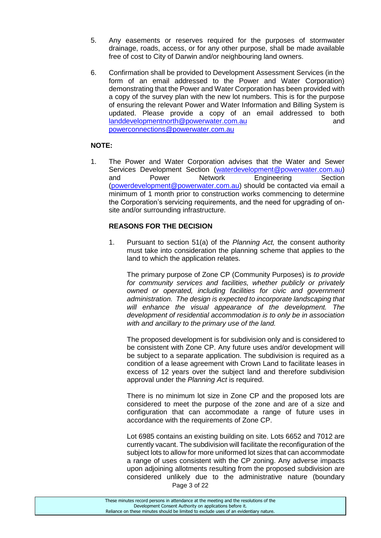- 5. Any easements or reserves required for the purposes of stormwater drainage, roads, access, or for any other purpose, shall be made available free of cost to City of Darwin and/or neighbouring land owners.
- 6. Confirmation shall be provided to Development Assessment Services (in the form of an email addressed to the Power and Water Corporation) demonstrating that the Power and Water Corporation has been provided with a copy of the survey plan with the new lot numbers. This is for the purpose of ensuring the relevant Power and Water Information and Billing System is updated. Please provide a copy of an email addressed to both [landdevelopmentnorth@powerwater.com.au](mailto:landdevelopmentnorth@powerwater.com.au) and [powerconnections@powerwater.com.au](mailto:powerconnections@powerwater.com.au)

# **NOTE:**

1. The Power and Water Corporation advises that the Water and Sewer Services Development Section [\(waterdevelopment@powerwater.com.au\)](mailto:waterdevelopment@powerwater.com.au) and Power Network Engineering Section [\(powerdevelopment@powerwater.com.au\)](mailto:powerdevelopment@powerwater.com.au) should be contacted via email a minimum of 1 month prior to construction works commencing to determine the Corporation's servicing requirements, and the need for upgrading of onsite and/or surrounding infrastructure.

# **REASONS FOR THE DECISION**

1. Pursuant to section 51(a) of the *Planning Act,* the consent authority must take into consideration the planning scheme that applies to the land to which the application relates.

The primary purpose of Zone CP (Community Purposes) is *to provide for community services and facilities, whether publicly or privately owned or operated, including facilities for civic and government administration. The design is expected to incorporate landscaping that will enhance the visual appearance of the development. The development of residential accommodation is to only be in association with and ancillary to the primary use of the land.* 

The proposed development is for subdivision only and is considered to be consistent with Zone CP. Any future uses and/or development will be subject to a separate application. The subdivision is required as a condition of a lease agreement with Crown Land to facilitate leases in excess of 12 years over the subject land and therefore subdivision approval under the *Planning Act* is required.

There is no minimum lot size in Zone CP and the proposed lots are considered to meet the purpose of the zone and are of a size and configuration that can accommodate a range of future uses in accordance with the requirements of Zone CP.

Page 3 of 22 Lot 6985 contains an existing building on site. Lots 6652 and 7012 are currently vacant. The subdivision will facilitate the reconfiguration of the subject lots to allow for more uniformed lot sizes that can accommodate a range of uses consistent with the CP zoning. Any adverse impacts upon adjoining allotments resulting from the proposed subdivision are considered unlikely due to the administrative nature (boundary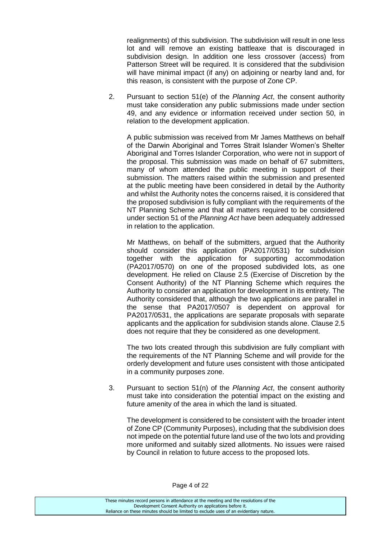realignments) of this subdivision. The subdivision will result in one less lot and will remove an existing battleaxe that is discouraged in subdivision design. In addition one less crossover (access) from Patterson Street will be required. It is considered that the subdivision will have minimal impact (if any) on adjoining or nearby land and, for this reason, is consistent with the purpose of Zone CP.

2. Pursuant to section 51(e) of the *Planning Act*, the consent authority must take consideration any public submissions made under section 49, and any evidence or information received under section 50, in relation to the development application.

A public submission was received from Mr James Matthews on behalf of the Darwin Aboriginal and Torres Strait Islander Women's Shelter Aboriginal and Torres Islander Corporation, who were not in support of the proposal. This submission was made on behalf of 67 submitters, many of whom attended the public meeting in support of their submission. The matters raised within the submission and presented at the public meeting have been considered in detail by the Authority and whilst the Authority notes the concerns raised, it is considered that the proposed subdivision is fully compliant with the requirements of the NT Planning Scheme and that all matters required to be considered under section 51 of the *Planning Act* have been adequately addressed in relation to the application.

Mr Matthews, on behalf of the submitters, argued that the Authority should consider this application (PA2017/0531) for subdivision together with the application for supporting accommodation (PA2017/0570) on one of the proposed subdivided lots, as one development. He relied on Clause 2.5 (Exercise of Discretion by the Consent Authority) of the NT Planning Scheme which requires the Authority to consider an application for development in its entirety. The Authority considered that, although the two applications are parallel in the sense that PA2017/0507 is dependent on approval for PA2017/0531, the applications are separate proposals with separate applicants and the application for subdivision stands alone. Clause 2.5 does not require that they be considered as one development.

The two lots created through this subdivision are fully compliant with the requirements of the NT Planning Scheme and will provide for the orderly development and future uses consistent with those anticipated in a community purposes zone.

3. Pursuant to section 51(n) of the *Planning Act*, the consent authority must take into consideration the potential impact on the existing and future amenity of the area in which the land is situated.

The development is considered to be consistent with the broader intent of Zone CP (Community Purposes), including that the subdivision does not impede on the potential future land use of the two lots and providing more uniformed and suitably sized allotments. No issues were raised by Council in relation to future access to the proposed lots.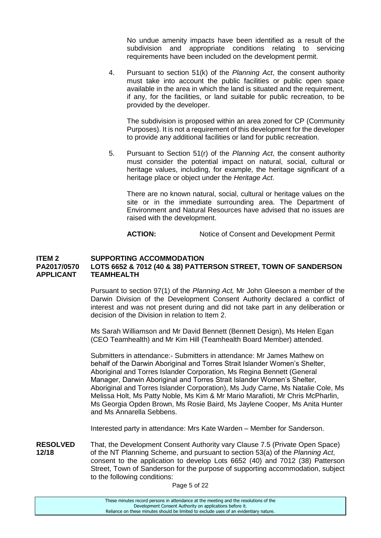No undue amenity impacts have been identified as a result of the subdivision and appropriate conditions relating to servicing requirements have been included on the development permit.

4. Pursuant to section 51(k) of the *Planning Act*, the consent authority must take into account the public facilities or public open space available in the area in which the land is situated and the requirement, if any, for the facilities, or land suitable for public recreation, to be provided by the developer.

The subdivision is proposed within an area zoned for CP (Community Purposes). It is not a requirement of this development for the developer to provide any additional facilities or land for public recreation.

5. Pursuant to Section 51(r) of the *Planning Act*, the consent authority must consider the potential impact on natural, social, cultural or heritage values, including, for example, the heritage significant of a heritage place or object under the *Heritage Act*.

There are no known natural, social, cultural or heritage values on the site or in the immediate surrounding area. The Department of Environment and Natural Resources have advised that no issues are raised with the development.

**ACTION:** Notice of Consent and Development Permit

#### **ITEM 2 SUPPORTING ACCOMMODATION PA2017/0570 LOTS 6652 & 7012 (40 & 38) PATTERSON STREET, TOWN OF SANDERSON APPLICANT TEAMHEALTH**

Pursuant to section 97(1) of the *Planning Act,* Mr John Gleeson a member of the Darwin Division of the Development Consent Authority declared a conflict of interest and was not present during and did not take part in any deliberation or decision of the Division in relation to Item 2.

Ms Sarah Williamson and Mr David Bennett (Bennett Design), Ms Helen Egan (CEO Teamhealth) and Mr Kim Hill (Teamhealth Board Member) attended.

Submitters in attendance:- Submitters in attendance: Mr James Mathew on behalf of the Darwin Aboriginal and Torres Strait Islander Women's Shelter, Aboriginal and Torres Islander Corporation, Ms Regina Bennett (General Manager, Darwin Aboriginal and Torres Strait Islander Women's Shelter, Aboriginal and Torres Islander Corporation), Ms Judy Carne, Ms Natalie Cole, Ms Melissa Holt, Ms Patty Noble, Ms Kim & Mr Mario Marafioti, Mr Chris McPharlin, Ms Georgia Opden Brown, Ms Rosie Baird, Ms Jaylene Cooper, Ms Anita Hunter and Ms Annarella Sebbens.

Interested party in attendance: Mrs Kate Warden – Member for Sanderson.

**RESOLVED** That, the Development Consent Authority vary Clause 7.5 (Private Open Space) **12/18** of the NT Planning Scheme, and pursuant to section 53(a) of the *Planning Act*, consent to the application to develop Lots 6652 (40) and 7012 (38) Patterson Street, Town of Sanderson for the purpose of supporting accommodation, subject to the following conditions:

Page 5 of 22

These minutes record persons in attendance at the meeting and the resolutions of the Development Consent Authority on applications before it. Reliance on these minutes should be limited to exclude uses of an evidentiary nature.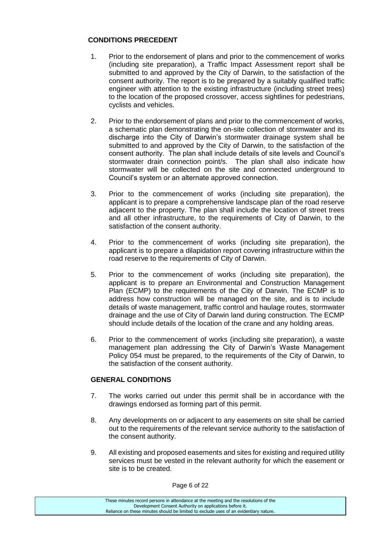# **CONDITIONS PRECEDENT**

- 1. Prior to the endorsement of plans and prior to the commencement of works (including site preparation), a Traffic Impact Assessment report shall be submitted to and approved by the City of Darwin, to the satisfaction of the consent authority. The report is to be prepared by a suitably qualified traffic engineer with attention to the existing infrastructure (including street trees) to the location of the proposed crossover, access sightlines for pedestrians, cyclists and vehicles.
- 2. Prior to the endorsement of plans and prior to the commencement of works, a schematic plan demonstrating the on-site collection of stormwater and its discharge into the City of Darwin's stormwater drainage system shall be submitted to and approved by the City of Darwin, to the satisfaction of the consent authority. The plan shall include details of site levels and Council's stormwater drain connection point/s. The plan shall also indicate how stormwater will be collected on the site and connected underground to Council's system or an alternate approved connection.
- 3. Prior to the commencement of works (including site preparation), the applicant is to prepare a comprehensive landscape plan of the road reserve adjacent to the property. The plan shall include the location of street trees and all other infrastructure, to the requirements of City of Darwin, to the satisfaction of the consent authority.
- 4. Prior to the commencement of works (including site preparation), the applicant is to prepare a dilapidation report covering infrastructure within the road reserve to the requirements of City of Darwin.
- 5. Prior to the commencement of works (including site preparation), the applicant is to prepare an Environmental and Construction Management Plan (ECMP) to the requirements of the City of Darwin. The ECMP is to address how construction will be managed on the site, and is to include details of waste management, traffic control and haulage routes, stormwater drainage and the use of City of Darwin land during construction. The ECMP should include details of the location of the crane and any holding areas.
- 6. Prior to the commencement of works (including site preparation), a waste management plan addressing the City of Darwin's Waste Management Policy 054 must be prepared, to the requirements of the City of Darwin, to the satisfaction of the consent authority.

# **GENERAL CONDITIONS**

- 7. The works carried out under this permit shall be in accordance with the drawings endorsed as forming part of this permit.
- 8. Any developments on or adjacent to any easements on site shall be carried out to the requirements of the relevant service authority to the satisfaction of the consent authority.
- 9. All existing and proposed easements and sites for existing and required utility services must be vested in the relevant authority for which the easement or site is to be created.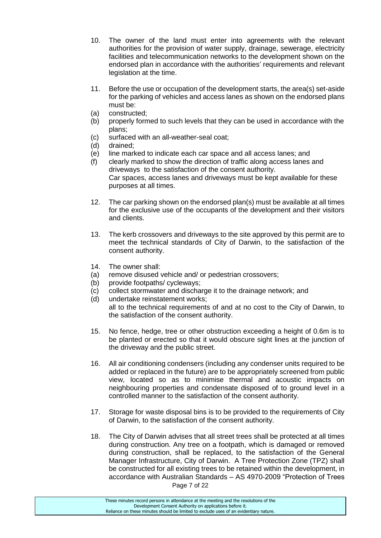- 10. The owner of the land must enter into agreements with the relevant authorities for the provision of water supply, drainage, sewerage, electricity facilities and telecommunication networks to the development shown on the endorsed plan in accordance with the authorities' requirements and relevant legislation at the time.
- 11. Before the use or occupation of the development starts, the area(s) set-aside for the parking of vehicles and access lanes as shown on the endorsed plans must be:
- (a) constructed;
- (b) properly formed to such levels that they can be used in accordance with the plans;
- (c) surfaced with an all-weather-seal coat;
- (d) drained;
- (e) line marked to indicate each car space and all access lanes; and
- (f) clearly marked to show the direction of traffic along access lanes and driveways to the satisfaction of the consent authority. Car spaces, access lanes and driveways must be kept available for these purposes at all times.
- 12. The car parking shown on the endorsed plan(s) must be available at all times for the exclusive use of the occupants of the development and their visitors and clients.
- 13. The kerb crossovers and driveways to the site approved by this permit are to meet the technical standards of City of Darwin, to the satisfaction of the consent authority.
- 14. The owner shall:
- (a) remove disused vehicle and/ or pedestrian crossovers;
- (b) provide footpaths/ cycleways;
- (c) collect stormwater and discharge it to the drainage network; and
- (d) undertake reinstatement works; all to the technical requirements of and at no cost to the City of Darwin, to the satisfaction of the consent authority.
- 15. No fence, hedge, tree or other obstruction exceeding a height of 0.6m is to be planted or erected so that it would obscure sight lines at the junction of the driveway and the public street.
- 16. All air conditioning condensers (including any condenser units required to be added or replaced in the future) are to be appropriately screened from public view, located so as to minimise thermal and acoustic impacts on neighbouring properties and condensate disposed of to ground level in a controlled manner to the satisfaction of the consent authority.
- 17. Storage for waste disposal bins is to be provided to the requirements of City of Darwin, to the satisfaction of the consent authority.
- Page 7 of 22 18. The City of Darwin advises that all street trees shall be protected at all times during construction. Any tree on a footpath, which is damaged or removed during construction, shall be replaced, to the satisfaction of the General Manager Infrastructure, City of Darwin. A Tree Protection Zone (TPZ) shall be constructed for all existing trees to be retained within the development, in accordance with Australian Standards – AS 4970-2009 "Protection of Trees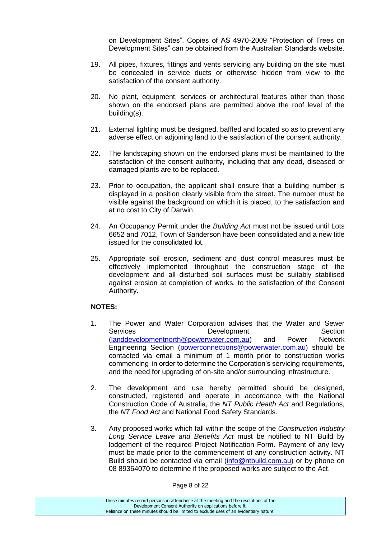on Development Sites". Copies of AS 4970-2009 "Protection of Trees on Development Sites" can be obtained from the Australian Standards website.

- 19. All pipes, fixtures, fittings and vents servicing any building on the site must be concealed in service ducts or otherwise hidden from view to the satisfaction of the consent authority.
- 20. No plant, equipment, services or architectural features other than those shown on the endorsed plans are permitted above the roof level of the building(s).
- 21. External lighting must be designed, baffled and located so as to prevent any adverse effect on adjoining land to the satisfaction of the consent authority.
- 22. The landscaping shown on the endorsed plans must be maintained to the satisfaction of the consent authority, including that any dead, diseased or damaged plants are to be replaced.
- 23. Prior to occupation, the applicant shall ensure that a building number is displayed in a position clearly visible from the street. The number must be visible against the background on which it is placed, to the satisfaction and at no cost to City of Darwin.
- 24. An Occupancy Permit under the *Building Act* must not be issued until Lots 6652 and 7012, Town of Sanderson have been consolidated and a new title issued for the consolidated lot.
- 25. Appropriate soil erosion, sediment and dust control measures must be effectively implemented throughout the construction stage of the development and all disturbed soil surfaces must be suitably stabilised against erosion at completion of works, to the satisfaction of the Consent Authority.

#### **NOTES:**

- 1. The Power and Water Corporation advises that the Water and Sewer Services **Development** Section [\(landdevelopmentnorth@powerwater.com.au\)](mailto:landdevelopmentnorth@powerwater.com.au) and Power Network Engineering Section [\(powerconnections@powerwater.com.au\)](mailto:powerconnections@powerwater.com.au) should be contacted via email a minimum of 1 month prior to construction works commencing in order to determine the Corporation's servicing requirements, and the need for upgrading of on-site and/or surrounding infrastructure.
- 2. The development and use hereby permitted should be designed, constructed, registered and operate in accordance with the National Construction Code of Australia, the *NT Public Health Act* and Regulations, the *NT Food Act* and National Food Safety Standards.
- 3. Any proposed works which fall within the scope of the *Construction Industry Long Service Leave and Benefits Act* must be notified to NT Build by lodgement of the required Project Notification Form. Payment of any levy must be made prior to the commencement of any construction activity. NT Build should be contacted via email [\(info@ntbuild.com.au\)](mailto:info@ntbuild.com.au) or by phone on 08 89364070 to determine if the proposed works are subject to the Act.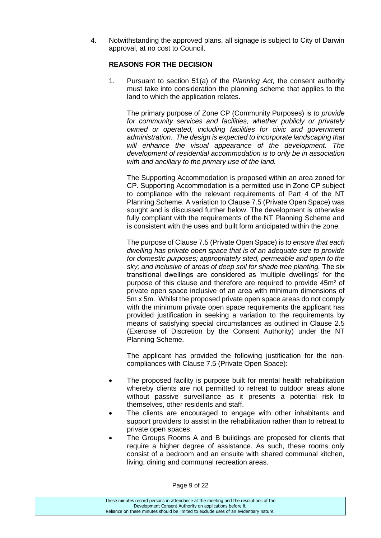4. Notwithstanding the approved plans, all signage is subject to City of Darwin approval, at no cost to Council.

# **REASONS FOR THE DECISION**

1. Pursuant to section 51(a) of the *Planning Act,* the consent authority must take into consideration the planning scheme that applies to the land to which the application relates.

The primary purpose of Zone CP (Community Purposes) is *to provide for community services and facilities, whether publicly or privately owned or operated, including facilities for civic and government administration. The design is expected to incorporate landscaping that will enhance the visual appearance of the development. The development of residential accommodation is to only be in association with and ancillary to the primary use of the land.* 

The Supporting Accommodation is proposed within an area zoned for CP. Supporting Accommodation is a permitted use in Zone CP subject to compliance with the relevant requirements of Part 4 of the NT Planning Scheme. A variation to Clause 7.5 (Private Open Space) was sought and is discussed further below. The development is otherwise fully compliant with the requirements of the NT Planning Scheme and is consistent with the uses and built form anticipated within the zone.

The purpose of Clause 7.5 (Private Open Space) is *to ensure that each dwelling has private open space that is of an adequate size to provide for domestic purposes; appropriately sited, permeable and open to the sky; and inclusive of areas of deep soil for shade tree planting.* The six transitional dwellings are considered as 'multiple dwellings' for the purpose of this clause and therefore are required to provide 45m² of private open space inclusive of an area with minimum dimensions of 5m x 5m. Whilst the proposed private open space areas do not comply with the minimum private open space requirements the applicant has provided justification in seeking a variation to the requirements by means of satisfying special circumstances as outlined in Clause 2.5 (Exercise of Discretion by the Consent Authority) under the NT Planning Scheme.

The applicant has provided the following justification for the noncompliances with Clause 7.5 (Private Open Space):

- The proposed facility is purpose built for mental health rehabilitation whereby clients are not permitted to retreat to outdoor areas alone without passive surveillance as it presents a potential risk to themselves, other residents and staff.
- The clients are encouraged to engage with other inhabitants and support providers to assist in the rehabilitation rather than to retreat to private open spaces.
- The Groups Rooms A and B buildings are proposed for clients that require a higher degree of assistance. As such, these rooms only consist of a bedroom and an ensuite with shared communal kitchen, living, dining and communal recreation areas.

Page 9 of 22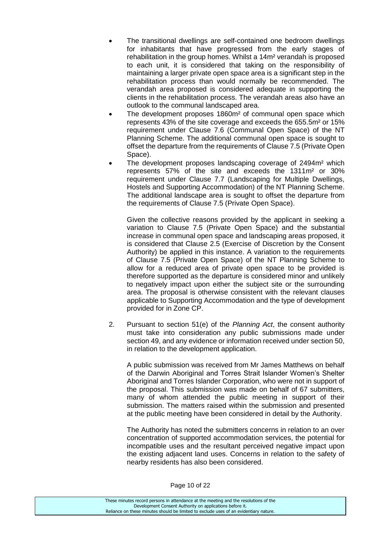- The transitional dwellings are self-contained one bedroom dwellings for inhabitants that have progressed from the early stages of rehabilitation in the group homes. Whilst a 14m² verandah is proposed to each unit, it is considered that taking on the responsibility of maintaining a larger private open space area is a significant step in the rehabilitation process than would normally be recommended. The verandah area proposed is considered adequate in supporting the clients in the rehabilitation process. The verandah areas also have an outlook to the communal landscaped area.
- The development proposes 1860m² of communal open space which represents 43% of the site coverage and exceeds the 655.5m² or 15% requirement under Clause 7.6 (Communal Open Space) of the NT Planning Scheme. The additional communal open space is sought to offset the departure from the requirements of Clause 7.5 (Private Open Space).
- The development proposes landscaping coverage of 2494m² which represents 57% of the site and exceeds the 1311m² or 30% requirement under Clause 7.7 (Landscaping for Multiple Dwellings, Hostels and Supporting Accommodation) of the NT Planning Scheme. The additional landscape area is sought to offset the departure from the requirements of Clause 7.5 (Private Open Space).

Given the collective reasons provided by the applicant in seeking a variation to Clause 7.5 (Private Open Space) and the substantial increase in communal open space and landscaping areas proposed, it is considered that Clause 2.5 (Exercise of Discretion by the Consent Authority) be applied in this instance. A variation to the requirements of Clause 7.5 (Private Open Space) of the NT Planning Scheme to allow for a reduced area of private open space to be provided is therefore supported as the departure is considered minor and unlikely to negatively impact upon either the subject site or the surrounding area. The proposal is otherwise consistent with the relevant clauses applicable to Supporting Accommodation and the type of development provided for in Zone CP.

2. Pursuant to section 51(e) of the *Planning Act*, the consent authority must take into consideration any public submissions made under section 49, and any evidence or information received under section 50, in relation to the development application.

A public submission was received from Mr James Matthews on behalf of the Darwin Aboriginal and Torres Strait Islander Women's Shelter Aboriginal and Torres Islander Corporation, who were not in support of the proposal. This submission was made on behalf of 67 submitters, many of whom attended the public meeting in support of their submission. The matters raised within the submission and presented at the public meeting have been considered in detail by the Authority.

The Authority has noted the submitters concerns in relation to an over concentration of supported accommodation services, the potential for incompatible uses and the resultant perceived negative impact upon the existing adjacent land uses. Concerns in relation to the safety of nearby residents has also been considered.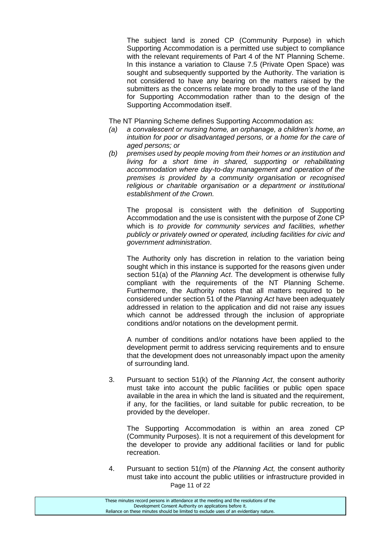The subject land is zoned CP (Community Purpose) in which Supporting Accommodation is a permitted use subject to compliance with the relevant requirements of Part 4 of the NT Planning Scheme. In this instance a variation to Clause 7.5 (Private Open Space) was sought and subsequently supported by the Authority. The variation is not considered to have any bearing on the matters raised by the submitters as the concerns relate more broadly to the use of the land for Supporting Accommodation rather than to the design of the Supporting Accommodation itself.

The NT Planning Scheme defines Supporting Accommodation as:

- *(a) a convalescent or nursing home, an orphanage, a children's home, an intuition for poor or disadvantaged persons, or a home for the care of aged persons; or*
- *(b) premises used by people moving from their homes or an institution and living for a short time in shared, supporting or rehabilitating accommodation where day-to-day management and operation of the premises is provided by a community organisation or recognised religious or charitable organisation or a department or institutional establishment of the Crown.*

The proposal is consistent with the definition of Supporting Accommodation and the use is consistent with the purpose of Zone CP which is *to provide for community services and facilities, whether publicly or privately owned or operated, including facilities for civic and government administration*.

The Authority only has discretion in relation to the variation being sought which in this instance is supported for the reasons given under section 51(a) of the *Planning Act*. The development is otherwise fully compliant with the requirements of the NT Planning Scheme. Furthermore, the Authority notes that all matters required to be considered under section 51 of the *Planning Act* have been adequately addressed in relation to the application and did not raise any issues which cannot be addressed through the inclusion of appropriate conditions and/or notations on the development permit.

A number of conditions and/or notations have been applied to the development permit to address servicing requirements and to ensure that the development does not unreasonably impact upon the amenity of surrounding land.

3. Pursuant to section 51(k) of the *Planning Act*, the consent authority must take into account the public facilities or public open space available in the area in which the land is situated and the requirement, if any, for the facilities, or land suitable for public recreation, to be provided by the developer.

The Supporting Accommodation is within an area zoned CP (Community Purposes). It is not a requirement of this development for the developer to provide any additional facilities or land for public recreation.

Page 11 of 22 4. Pursuant to section 51(m) of the *Planning Act,* the consent authority must take into account the public utilities or infrastructure provided in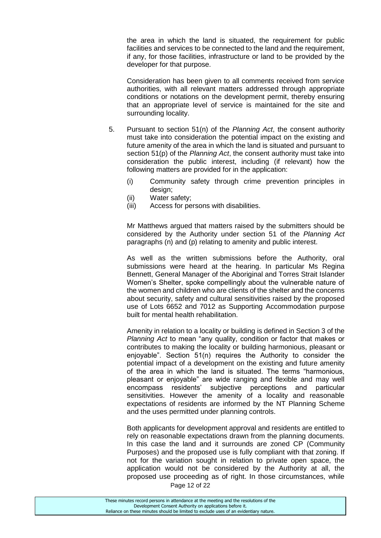the area in which the land is situated, the requirement for public facilities and services to be connected to the land and the requirement, if any, for those facilities, infrastructure or land to be provided by the developer for that purpose.

Consideration has been given to all comments received from service authorities, with all relevant matters addressed through appropriate conditions or notations on the development permit, thereby ensuring that an appropriate level of service is maintained for the site and surrounding locality.

- 5. Pursuant to section 51(n) of the *Planning Act*, the consent authority must take into consideration the potential impact on the existing and future amenity of the area in which the land is situated and pursuant to section 51(p) of the *Planning Act*, the consent authority must take into consideration the public interest, including (if relevant) how the following matters are provided for in the application:
	- (i) Community safety through crime prevention principles in design;
	- (ii) Water safety;
	- (iii) Access for persons with disabilities.

Mr Matthews argued that matters raised by the submitters should be considered by the Authority under section 51 of the *Planning Act* paragraphs (n) and (p) relating to amenity and public interest.

As well as the written submissions before the Authority, oral submissions were heard at the hearing. In particular Ms Regina Bennett, General Manager of the Aboriginal and Torres Strait Islander Women's Shelter, spoke compellingly about the vulnerable nature of the women and children who are clients of the shelter and the concerns about security, safety and cultural sensitivities raised by the proposed use of Lots 6652 and 7012 as Supporting Accommodation purpose built for mental health rehabilitation.

Amenity in relation to a locality or building is defined in Section 3 of the *Planning Act* to mean "any quality, condition or factor that makes or contributes to making the locality or building harmonious, pleasant or enjoyable". Section 51(n) requires the Authority to consider the potential impact of a development on the existing and future amenity of the area in which the land is situated. The terms "harmonious, pleasant or enjoyable" are wide ranging and flexible and may well encompass residents' subjective perceptions and particular sensitivities. However the amenity of a locality and reasonable expectations of residents are informed by the NT Planning Scheme and the uses permitted under planning controls.

Both applicants for development approval and residents are entitled to rely on reasonable expectations drawn from the planning documents. In this case the land and it surrounds are zoned CP (Community Purposes) and the proposed use is fully compliant with that zoning. If not for the variation sought in relation to private open space, the application would not be considered by the Authority at all, the proposed use proceeding as of right. In those circumstances, while

Page 12 of 22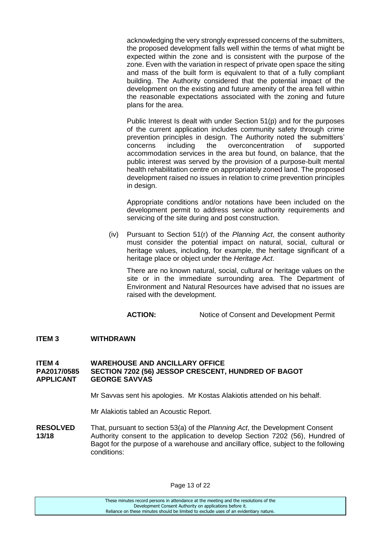acknowledging the very strongly expressed concerns of the submitters, the proposed development falls well within the terms of what might be expected within the zone and is consistent with the purpose of the zone. Even with the variation in respect of private open space the siting and mass of the built form is equivalent to that of a fully compliant building. The Authority considered that the potential impact of the development on the existing and future amenity of the area fell within the reasonable expectations associated with the zoning and future plans for the area.

Public Interest Is dealt with under Section 51(p) and for the purposes of the current application includes community safety through crime prevention principles in design. The Authority noted the submitters' concerns including the overconcentration of supported accommodation services in the area but found, on balance, that the public interest was served by the provision of a purpose-built mental health rehabilitation centre on appropriately zoned land. The proposed development raised no issues in relation to crime prevention principles in design.

Appropriate conditions and/or notations have been included on the development permit to address service authority requirements and servicing of the site during and post construction.

(iv) Pursuant to Section 51(r) of the *Planning Act*, the consent authority must consider the potential impact on natural, social, cultural or heritage values, including, for example, the heritage significant of a heritage place or object under the *Heritage Act*.

There are no known natural, social, cultural or heritage values on the site or in the immediate surrounding area. The Department of Environment and Natural Resources have advised that no issues are raised with the development.

**ACTION:** Notice of Consent and Development Permit

#### **ITEM 3 WITHDRAWN**

#### **ITEM 4 WAREHOUSE AND ANCILLARY OFFICE PA2017/0585 SECTION 7202 (56) JESSOP CRESCENT, HUNDRED OF BAGOT APPLICANT GEORGE SAVVAS**

Mr Savvas sent his apologies. Mr Kostas Alakiotis attended on his behalf.

Mr Alakiotis tabled an Acoustic Report.

**RESOLVED** That, pursuant to section 53(a) of the *Planning Act*, the Development Consent **13/18** Authority consent to the application to develop Section 7202 (56), Hundred of Bagot for the purpose of a warehouse and ancillary office, subject to the following conditions:

| These minutes record persons in attendance at the meeting and the resolutions of the  |
|---------------------------------------------------------------------------------------|
| Development Consent Authority on applications before it.                              |
| Reliance on these minutes should be limited to exclude uses of an evidentiary nature. |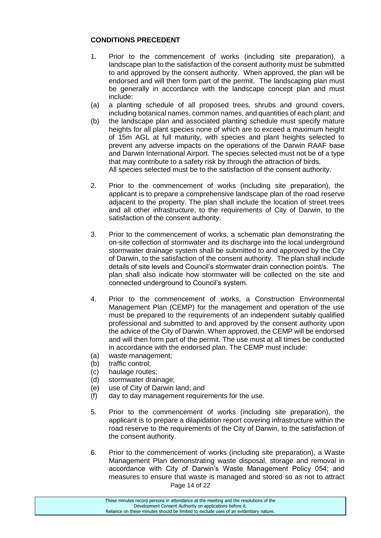# **CONDITIONS PRECEDENT**

- 1. Prior to the commencement of works (including site preparation), a landscape plan to the satisfaction of the consent authority must be submitted to and approved by the consent authority. When approved, the plan will be endorsed and will then form part of the permit. The landscaping plan must be generally in accordance with the landscape concept plan and must include:
- (a) a planting schedule of all proposed trees, shrubs and ground covers, including botanical names, common names, and quantities of each plant; and
- (b) the landscape plan and associated planting schedule must specify mature heights for all plant species none of which are to exceed a maximum height of 15m AGL at full maturity, with species and plant heights selected to prevent any adverse impacts on the operations of the Darwin RAAF base and Darwin International Airport. The species selected must not be of a type that may contribute to a safety risk by through the attraction of birds. All species selected must be to the satisfaction of the consent authority.
- 2. Prior to the commencement of works (including site preparation), the applicant is to prepare a comprehensive landscape plan of the road reserve adjacent to the property. The plan shall include the location of street trees and all other infrastructure, to the requirements of City of Darwin, to the satisfaction of the consent authority.
- 3. Prior to the commencement of works, a schematic plan demonstrating the on-site collection of stormwater and its discharge into the local underground stormwater drainage system shall be submitted to and approved by the City of Darwin, to the satisfaction of the consent authority. The plan shall include details of site levels and Council's stormwater drain connection point/s. The plan shall also indicate how stormwater will be collected on the site and connected underground to Council's system.
- 4. Prior to the commencement of works, a Construction Environmental Management Plan (CEMP) for the management and operation of the use must be prepared to the requirements of an independent suitably qualified professional and submitted to and approved by the consent authority upon the advice of the City of Darwin. When approved, the CEMP will be endorsed and will then form part of the permit. The use must at all times be conducted in accordance with the endorsed plan. The CEMP must include:
- (a) waste management;
- (b) traffic control;
- (c) haulage routes;
- (d) stormwater drainage;
- (e) use of City of Darwin land; and
- (f) day to day management requirements for the use.
- 5. Prior to the commencement of works (including site preparation), the applicant is to prepare a dilapidation report covering infrastructure within the road reserve to the requirements of the City of Darwin, to the satisfaction of the consent authority.
- Page 14 of 22 6. Prior to the commencement of works (including site preparation), a Waste Management Plan demonstrating waste disposal, storage and removal in accordance with City of Darwin's Waste Management Policy 054; and measures to ensure that waste is managed and stored so as not to attract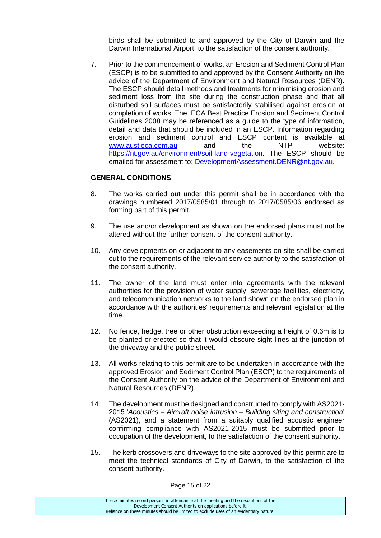birds shall be submitted to and approved by the City of Darwin and the Darwin International Airport, to the satisfaction of the consent authority.

7. Prior to the commencement of works, an Erosion and Sediment Control Plan (ESCP) is to be submitted to and approved by the Consent Authority on the advice of the Department of Environment and Natural Resources (DENR). The ESCP should detail methods and treatments for minimising erosion and sediment loss from the site during the construction phase and that all disturbed soil surfaces must be satisfactorily stabilised against erosion at completion of works. The IECA Best Practice Erosion and Sediment Control Guidelines 2008 may be referenced as a guide to the type of information, detail and data that should be included in an ESCP. Information regarding erosion and sediment control and ESCP content is available at [www.austieca.com.au](http://www.austieca.com.au/) and the NTP website: [https://nt.gov.au/environment/soil-land-vegetation.](https://nt.gov.au/environment/soil-land-vegetation) The ESCP should be emailed for assessment to: [DevelopmentAssessment.DENR@nt.gov.au.](mailto:DevelopmentAssessment.DENR@nt.gov.au)

# **GENERAL CONDITIONS**

- 8. The works carried out under this permit shall be in accordance with the drawings numbered 2017/0585/01 through to 2017/0585/06 endorsed as forming part of this permit.
- 9. The use and/or development as shown on the endorsed plans must not be altered without the further consent of the consent authority.
- 10. Any developments on or adjacent to any easements on site shall be carried out to the requirements of the relevant service authority to the satisfaction of the consent authority.
- 11. The owner of the land must enter into agreements with the relevant authorities for the provision of water supply, sewerage facilities, electricity, and telecommunication networks to the land shown on the endorsed plan in accordance with the authorities' requirements and relevant legislation at the time.
- 12. No fence, hedge, tree or other obstruction exceeding a height of 0.6m is to be planted or erected so that it would obscure sight lines at the junction of the driveway and the public street.
- 13. All works relating to this permit are to be undertaken in accordance with the approved Erosion and Sediment Control Plan (ESCP) to the requirements of the Consent Authority on the advice of the Department of Environment and Natural Resources (DENR).
- 14. The development must be designed and constructed to comply with AS2021- 2015 '*Acoustics – Aircraft noise intrusion – Building siting and construction*' (AS2021), and a statement from a suitably qualified acoustic engineer confirming compliance with AS2021-2015 must be submitted prior to occupation of the development, to the satisfaction of the consent authority.
- 15. The kerb crossovers and driveways to the site approved by this permit are to meet the technical standards of City of Darwin, to the satisfaction of the consent authority.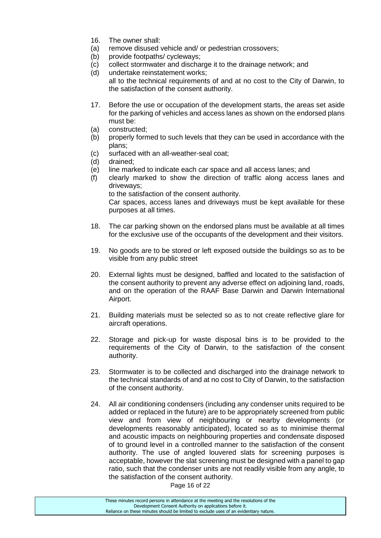- 16. The owner shall:
- (a) remove disused vehicle and/ or pedestrian crossovers;
- (b) provide footpaths/ cycleways;
- (c) collect stormwater and discharge it to the drainage network; and
- (d) undertake reinstatement works; all to the technical requirements of and at no cost to the City of Darwin, to the satisfaction of the consent authority.
- 17. Before the use or occupation of the development starts, the areas set aside for the parking of vehicles and access lanes as shown on the endorsed plans must be:
- (a) constructed;
- (b) properly formed to such levels that they can be used in accordance with the plans;
- (c) surfaced with an all-weather-seal coat;
- (d) drained;
- (e) line marked to indicate each car space and all access lanes; and
- (f) clearly marked to show the direction of traffic along access lanes and driveways; to the satisfaction of the consent authority.

Car spaces, access lanes and driveways must be kept available for these purposes at all times.

- 18. The car parking shown on the endorsed plans must be available at all times for the exclusive use of the occupants of the development and their visitors.
- 19. No goods are to be stored or left exposed outside the buildings so as to be visible from any public street
- 20. External lights must be designed, baffled and located to the satisfaction of the consent authority to prevent any adverse effect on adjoining land, roads, and on the operation of the RAAF Base Darwin and Darwin International Airport.
- 21. Building materials must be selected so as to not create reflective glare for aircraft operations.
- 22. Storage and pick-up for waste disposal bins is to be provided to the requirements of the City of Darwin, to the satisfaction of the consent authority.
- 23. Stormwater is to be collected and discharged into the drainage network to the technical standards of and at no cost to City of Darwin, to the satisfaction of the consent authority.
- 24. All air conditioning condensers (including any condenser units required to be added or replaced in the future) are to be appropriately screened from public view and from view of neighbouring or nearby developments (or developments reasonably anticipated), located so as to minimise thermal and acoustic impacts on neighbouring properties and condensate disposed of to ground level in a controlled manner to the satisfaction of the consent authority. The use of angled louvered slats for screening purposes is acceptable, however the slat screening must be designed with a panel to gap ratio, such that the condenser units are not readily visible from any angle, to the satisfaction of the consent authority.

Page 16 of 22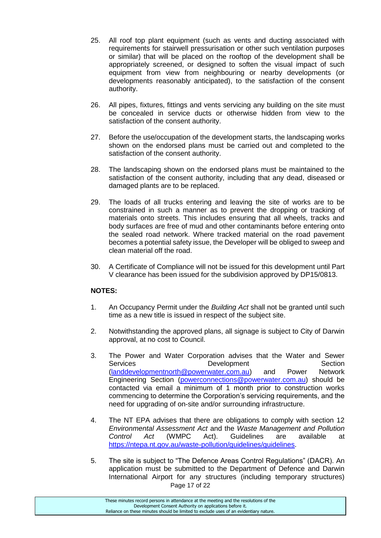- 25. All roof top plant equipment (such as vents and ducting associated with requirements for stairwell pressurisation or other such ventilation purposes or similar) that will be placed on the rooftop of the development shall be appropriately screened, or designed to soften the visual impact of such equipment from view from neighbouring or nearby developments (or developments reasonably anticipated), to the satisfaction of the consent authority.
- 26. All pipes, fixtures, fittings and vents servicing any building on the site must be concealed in service ducts or otherwise hidden from view to the satisfaction of the consent authority.
- 27. Before the use/occupation of the development starts, the landscaping works shown on the endorsed plans must be carried out and completed to the satisfaction of the consent authority.
- 28. The landscaping shown on the endorsed plans must be maintained to the satisfaction of the consent authority, including that any dead, diseased or damaged plants are to be replaced.
- 29. The loads of all trucks entering and leaving the site of works are to be constrained in such a manner as to prevent the dropping or tracking of materials onto streets. This includes ensuring that all wheels, tracks and body surfaces are free of mud and other contaminants before entering onto the sealed road network. Where tracked material on the road pavement becomes a potential safety issue, the Developer will be obliged to sweep and clean material off the road.
- 30. A Certificate of Compliance will not be issued for this development until Part V clearance has been issued for the subdivision approved by DP15/0813.

# **NOTES:**

- 1. An Occupancy Permit under the *Building Act* shall not be granted until such time as a new title is issued in respect of the subject site.
- 2. Notwithstanding the approved plans, all signage is subject to City of Darwin approval, at no cost to Council.
- 3. The Power and Water Corporation advises that the Water and Sewer Services **Development** Development Section [\(landdevelopmentnorth@powerwater.com.au\)](mailto:landdevelopmentnorth@powerwater.com.au) and Power Network Engineering Section [\(powerconnections@powerwater.com.au\)](mailto:powerconnections@powerwater.com.au) should be contacted via email a minimum of 1 month prior to construction works commencing to determine the Corporation's servicing requirements, and the need for upgrading of on-site and/or surrounding infrastructure.
- 4. The NT EPA advises that there are obligations to comply with section 12 *Environmental Assessment Act* and the *Waste Management and Pollution Control Act* (WMPC Act). Guidelines are available at [https://ntepa.nt.gov.au/waste-pollution/guidelines/guidelines.](https://ntepa.nt.gov.au/waste-pollution/guidelines/guidelines)
- Page 17 of 22 5. The site is subject to "The Defence Areas Control Regulations" (DACR). An application must be submitted to the Department of Defence and Darwin International Airport for any structures (including temporary structures)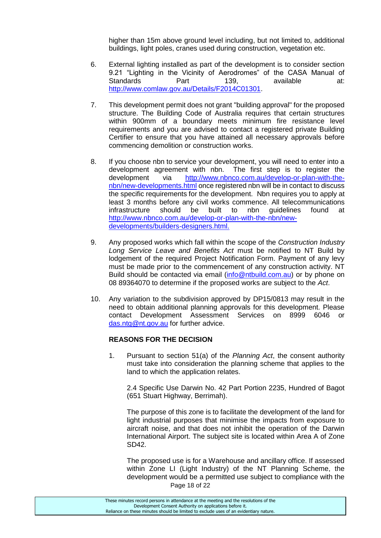higher than 15m above ground level including, but not limited to, additional buildings, light poles, cranes used during construction, vegetation etc.

- 6. External lighting installed as part of the development is to consider section 9.21 "Lighting in the Vicinity of Aerodromes" of the CASA Manual of Standards Part 139, available at: [http://www.comlaw.gov.au/Details/F2014C01301.](http://www.comlaw.gov.au/Details/F2014C01301)
- 7. This development permit does not grant "building approval" for the proposed structure. The Building Code of Australia requires that certain structures within 900mm of a boundary meets minimum fire resistance level requirements and you are advised to contact a registered private Building Certifier to ensure that you have attained all necessary approvals before commencing demolition or construction works.
- 8. If you choose nbn to service your development, you will need to enter into a development agreement with nbn. The first step is to register the development via [http://www.nbnco.com.au/develop-or-plan-with-the](http://www.nbnco.com.au/develop-or-plan-with-the-nbn/new-developments.html)[nbn/new-developments.html](http://www.nbnco.com.au/develop-or-plan-with-the-nbn/new-developments.html) once registered nbn will be in contact to discuss the specific requirements for the development. Nbn requires you to apply at least 3 months before any civil works commence. All telecommunications infrastructure should be built to nbn guidelines found at [http://www.nbnco.com.au/develop-or-plan-with-the-nbn/new](http://www.nbnco.com.au/develop-or-plan-with-the-nbn/new-developments/builders-designers.html)[developments/builders-designers.html.](http://www.nbnco.com.au/develop-or-plan-with-the-nbn/new-developments/builders-designers.html)
- 9. Any proposed works which fall within the scope of the *Construction Industry Long Service Leave and Benefits Act* must be notified to NT Build by lodgement of the required Project Notification Form. Payment of any levy must be made prior to the commencement of any construction activity. NT Build should be contacted via email [\(info@ntbuild.com.au\)](mailto:info@ntbuild.com.au) or by phone on 08 89364070 to determine if the proposed works are subject to the *Act*.
- 10. Any variation to the subdivision approved by DP15/0813 may result in the need to obtain additional planning approvals for this development. Please contact Development Assessment Services on 8999 6046 or [das.ntg@nt.gov.au](mailto:das.ntg@nt.gov.au) for further advice.

#### **REASONS FOR THE DECISION**

1. Pursuant to section 51(a) of the *Planning Act*, the consent authority must take into consideration the planning scheme that applies to the land to which the application relates.

2.4 Specific Use Darwin No. 42 Part Portion 2235, Hundred of Bagot (651 Stuart Highway, Berrimah).

The purpose of this zone is to facilitate the development of the land for light industrial purposes that minimise the impacts from exposure to aircraft noise, and that does not inhibit the operation of the Darwin International Airport. The subject site is located within Area A of Zone SD42.

Page 18 of 22 The proposed use is for a Warehouse and ancillary office. If assessed within Zone LI (Light Industry) of the NT Planning Scheme, the development would be a permitted use subject to compliance with the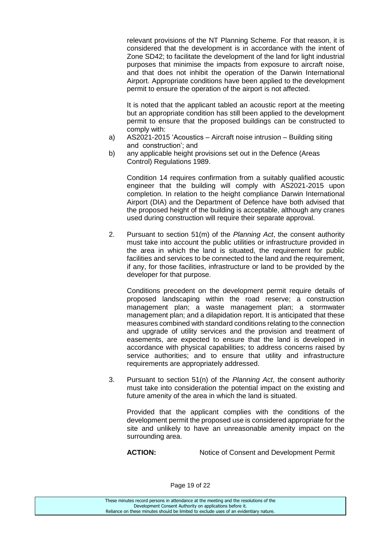relevant provisions of the NT Planning Scheme. For that reason, it is considered that the development is in accordance with the intent of Zone SD42; to facilitate the development of the land for light industrial purposes that minimise the impacts from exposure to aircraft noise, and that does not inhibit the operation of the Darwin International Airport. Appropriate conditions have been applied to the development permit to ensure the operation of the airport is not affected.

It is noted that the applicant tabled an acoustic report at the meeting but an appropriate condition has still been applied to the development permit to ensure that the proposed buildings can be constructed to comply with:

- a) AS2021-2015 'Acoustics Aircraft noise intrusion Building siting and construction'; and
- b) any applicable height provisions set out in the Defence (Areas Control) Regulations 1989.

Condition 14 requires confirmation from a suitably qualified acoustic engineer that the building will comply with AS2021-2015 upon completion. In relation to the height compliance Darwin International Airport (DIA) and the Department of Defence have both advised that the proposed height of the building is acceptable, although any cranes used during construction will require their separate approval.

2. Pursuant to section 51(m) of the *Planning Act*, the consent authority must take into account the public utilities or infrastructure provided in the area in which the land is situated, the requirement for public facilities and services to be connected to the land and the requirement, if any, for those facilities, infrastructure or land to be provided by the developer for that purpose.

Conditions precedent on the development permit require details of proposed landscaping within the road reserve; a construction management plan; a waste management plan; a stormwater management plan; and a dilapidation report. It is anticipated that these measures combined with standard conditions relating to the connection and upgrade of utility services and the provision and treatment of easements, are expected to ensure that the land is developed in accordance with physical capabilities; to address concerns raised by service authorities; and to ensure that utility and infrastructure requirements are appropriately addressed.

3. Pursuant to section 51(n) of the *Planning Act*, the consent authority must take into consideration the potential impact on the existing and future amenity of the area in which the land is situated.

Provided that the applicant complies with the conditions of the development permit the proposed use is considered appropriate for the site and unlikely to have an unreasonable amenity impact on the surrounding area.

**ACTION:** Notice of Consent and Development Permit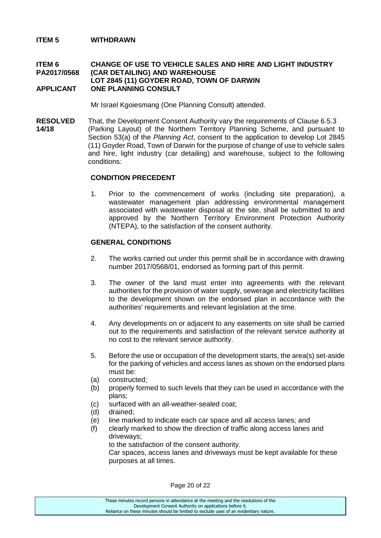#### **ITEM 5 WITHDRAWN**

#### **ITEM 6 CHANGE OF USE TO VEHICLE SALES AND HIRE AND LIGHT INDUSTRY PA2017/0568 (CAR DETAILING) AND WAREHOUSE LOT 2845 (11) GOYDER ROAD, TOWN OF DARWIN APPLICANT ONE PLANNING CONSULT**

Mr Israel Kgoiesmang (One Planning Consult) attended.

**RESOLVED** That, the Development Consent Authority vary the requirements of Clause 6.5.3 **14/18** (Parking Layout) of the Northern Territory Planning Scheme, and pursuant to Section 53(a) of the *Planning Act*, consent to the application to develop Lot 2845 (11) Goyder Road, Town of Darwin for the purpose of change of use to vehicle sales and hire, light industry (car detailing) and warehouse, subject to the following conditions:

#### **CONDITION PRECEDENT**

1. Prior to the commencement of works (including site preparation), a wastewater management plan addressing environmental management associated with wastewater disposal at the site, shall be submitted to and approved by the Northern Territory Environment Protection Authority (NTEPA), to the satisfaction of the consent authority.

#### **GENERAL CONDITIONS**

- 2. The works carried out under this permit shall be in accordance with drawing number 2017/0568/01, endorsed as forming part of this permit.
- 3. The owner of the land must enter into agreements with the relevant authorities for the provision of water supply, sewerage and electricity facilities to the development shown on the endorsed plan in accordance with the authorities' requirements and relevant legislation at the time.
- 4. Any developments on or adjacent to any easements on site shall be carried out to the requirements and satisfaction of the relevant service authority at no cost to the relevant service authority.
- 5. Before the use or occupation of the development starts, the area(s) set-aside for the parking of vehicles and access lanes as shown on the endorsed plans must be:
- (a) constructed;
- (b) properly formed to such levels that they can be used in accordance with the plans;
- (c) surfaced with an all-weather-sealed coat;
- (d) drained;
- (e) line marked to indicate each car space and all access lanes; and
- (f) clearly marked to show the direction of traffic along access lanes and driveways;

to the satisfaction of the consent authority.

Car spaces, access lanes and driveways must be kept available for these purposes at all times.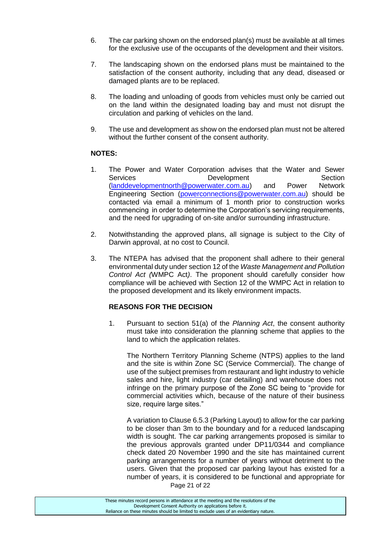- 6. The car parking shown on the endorsed plan(s) must be available at all times for the exclusive use of the occupants of the development and their visitors.
- 7. The landscaping shown on the endorsed plans must be maintained to the satisfaction of the consent authority, including that any dead, diseased or damaged plants are to be replaced.
- 8. The loading and unloading of goods from vehicles must only be carried out on the land within the designated loading bay and must not disrupt the circulation and parking of vehicles on the land.
- 9. The use and development as show on the endorsed plan must not be altered without the further consent of the consent authority.

# **NOTES:**

- 1. The Power and Water Corporation advises that the Water and Sewer Services Development Section [\(landdevelopmentnorth@powerwater.com.au\)](mailto:landdevelopmentnorth@powerwater.com.au) and Power Network Engineering Section [\(powerconnections@powerwater.com.au\)](mailto:powerconnections@powerwater.com.au) should be contacted via email a minimum of 1 month prior to construction works commencing in order to determine the Corporation's servicing requirements, and the need for upgrading of on-site and/or surrounding infrastructure.
- 2. Notwithstanding the approved plans, all signage is subject to the City of Darwin approval, at no cost to Council.
- 3. The NTEPA has advised that the proponent shall adhere to their general environmental duty under section 12 of the *Waste Management and Pollution Control Act (*WMPC Act*)*. The proponent should carefully consider how compliance will be achieved with Section 12 of the WMPC Act in relation to the proposed development and its likely environment impacts.

# **REASONS FOR THE DECISION**

1. Pursuant to section 51(a) of the *Planning Act*, the consent authority must take into consideration the planning scheme that applies to the land to which the application relates.

The Northern Territory Planning Scheme (NTPS) applies to the land and the site is within Zone SC (Service Commercial). The change of use of the subject premises from restaurant and light industry to vehicle sales and hire, light industry (car detailing) and warehouse does not infringe on the primary purpose of the Zone SC being to "provide for commercial activities which, because of the nature of their business size, require large sites."

Page 21 of 22 A variation to Clause 6.5.3 (Parking Layout) to allow for the car parking to be closer than 3m to the boundary and for a reduced landscaping width is sought. The car parking arrangements proposed is similar to the previous approvals granted under DP11/0344 and compliance check dated 20 November 1990 and the site has maintained current parking arrangements for a number of years without detriment to the users. Given that the proposed car parking layout has existed for a number of years, it is considered to be functional and appropriate for